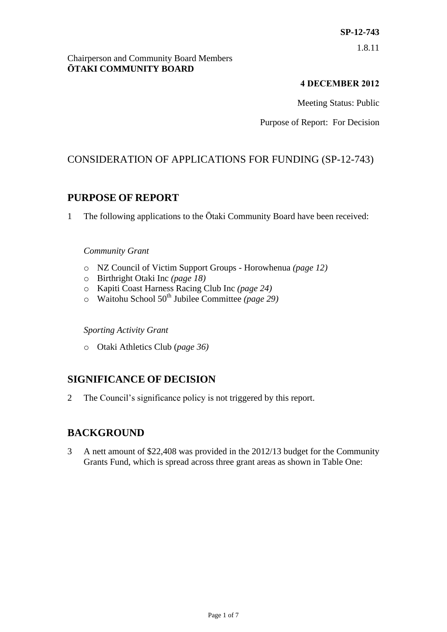#### Chairperson and Community Board Members **ŌTAKI COMMUNITY BOARD**

### **4 DECEMBER 2012**

Meeting Status: Public

Purpose of Report: For Decision

## CONSIDERATION OF APPLICATIONS FOR FUNDING (SP-12-743)

## **PURPOSE OF REPORT**

1 The following applications to the Ōtaki Community Board have been received:

#### *Community Grant*

- o NZ Council of Victim Support Groups Horowhenua *(page 12)*
- o Birthright Otaki Inc *(page 18)*
- o Kapiti Coast Harness Racing Club Inc *(page 24)*
- o Waitohu School 50th Jubilee Committee *(page 29)*

*Sporting Activity Grant*

o Otaki Athletics Club (*page 36)*

## **SIGNIFICANCE OF DECISION**

2 The Council's significance policy is not triggered by this report.

## **BACKGROUND**

3 A nett amount of \$22,408 was provided in the 2012/13 budget for the Community Grants Fund, which is spread across three grant areas as shown in Table One: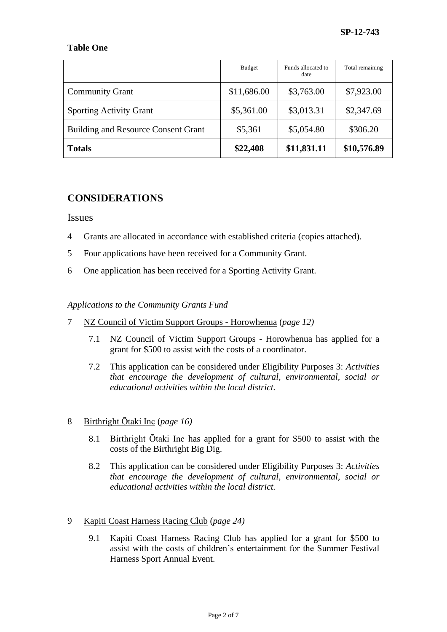#### **Table One**

|                                            | Budget      | Funds allocated to<br>date | Total remaining |
|--------------------------------------------|-------------|----------------------------|-----------------|
| <b>Community Grant</b>                     | \$11,686.00 | \$3,763.00                 | \$7,923.00      |
| <b>Sporting Activity Grant</b>             | \$5,361.00  | \$3,013.31                 | \$2,347.69      |
| <b>Building and Resource Consent Grant</b> | \$5,361     | \$5,054.80                 | \$306.20        |
| <b>Totals</b>                              | \$22,408    | \$11,831.11                | \$10,576.89     |

## **CONSIDERATIONS**

#### Issues

- 4 Grants are allocated in accordance with established criteria (copies attached).
- 5 Four applications have been received for a Community Grant.
- 6 One application has been received for a Sporting Activity Grant.

#### *Applications to the Community Grants Fund*

- 7 NZ Council of Victim Support Groups Horowhenua (*page 12)*
	- 7.1 NZ Council of Victim Support Groups Horowhenua has applied for a grant for \$500 to assist with the costs of a coordinator.
	- 7.2 This application can be considered under Eligibility Purposes 3: *Activities that encourage the development of cultural, environmental, social or educational activities within the local district.*
- 8 Birthright Ōtaki Inc (*page 16)*
	- 8.1 Birthright Ōtaki Inc has applied for a grant for \$500 to assist with the costs of the Birthright Big Dig.
	- 8.2 This application can be considered under Eligibility Purposes 3: *Activities that encourage the development of cultural, environmental, social or educational activities within the local district.*
- 9 Kapiti Coast Harness Racing Club (*page 24)*
	- 9.1 Kapiti Coast Harness Racing Club has applied for a grant for \$500 to assist with the costs of children's entertainment for the Summer Festival Harness Sport Annual Event.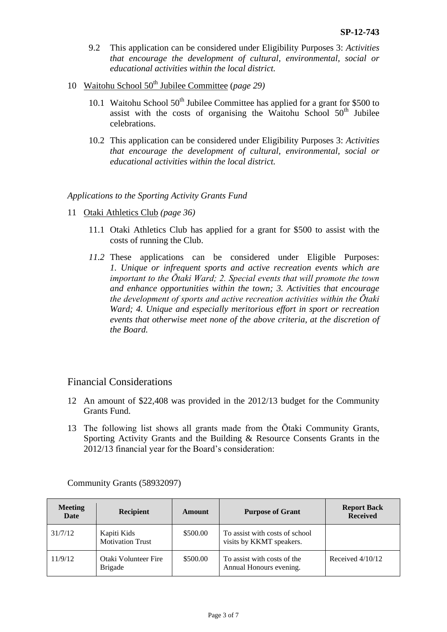- 9.2 This application can be considered under Eligibility Purposes 3: *Activities that encourage the development of cultural, environmental, social or educational activities within the local district.*
- 10 Waitohu School 50<sup>th</sup> Jubilee Committee (*page 29*)
	- 10.1 Waitohu School  $50<sup>th</sup>$  Jubilee Committee has applied for a grant for \$500 to assist with the costs of organising the Waitohu School  $50<sup>th</sup>$  Jubilee celebrations.
	- 10.2 This application can be considered under Eligibility Purposes 3: *Activities that encourage the development of cultural, environmental, social or educational activities within the local district.*

#### *Applications to the Sporting Activity Grants Fund*

- 11 Otaki Athletics Club *(page 36)*
	- 11.1 Otaki Athletics Club has applied for a grant for \$500 to assist with the costs of running the Club.
	- *11.2* These applications can be considered under Eligible Purposes: *1. Unique or infrequent sports and active recreation events which are important to the Ōtaki Ward; 2. Special events that will promote the town and enhance opportunities within the town; 3. Activities that encourage the development of sports and active recreation activities within the Ōtaki Ward; 4. Unique and especially meritorious effort in sport or recreation events that otherwise meet none of the above criteria, at the discretion of the Board.*

#### Financial Considerations

- 12 An amount of \$22,408 was provided in the 2012/13 budget for the Community Grants Fund.
- 13 The following list shows all grants made from the Ōtaki Community Grants, Sporting Activity Grants and the Building & Resource Consents Grants in the 2012/13 financial year for the Board's consideration:

| <b>Meeting</b><br><b>Date</b> | <b>Recipient</b>                       | Amount   | <b>Purpose of Grant</b>                                    | <b>Report Back</b><br><b>Received</b> |
|-------------------------------|----------------------------------------|----------|------------------------------------------------------------|---------------------------------------|
| 31/7/12                       | Kapiti Kids<br><b>Motivation Trust</b> | \$500.00 | To assist with costs of school<br>visits by KKMT speakers. |                                       |
| 11/9/12                       | Otaki Volunteer Fire<br><b>Brigade</b> | \$500.00 | To assist with costs of the<br>Annual Honours evening.     | Received $4/10/12$                    |

Community Grants (58932097)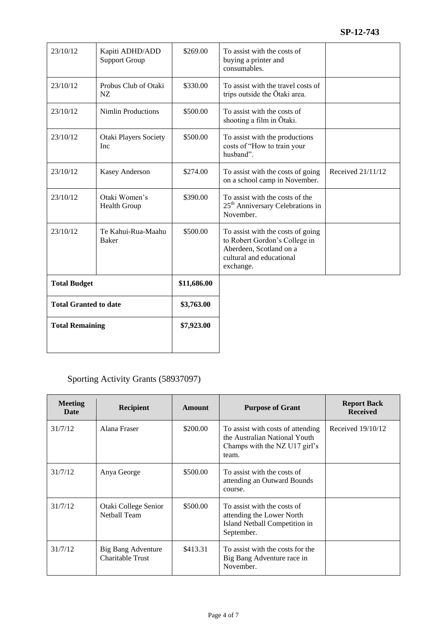| 23/10/12                     | Kapiti ADHD/ADD<br><b>Support Group</b>    | \$269.00    | To assist with the costs of<br>buying a printer and<br>consumables.                                                                    |                   |
|------------------------------|--------------------------------------------|-------------|----------------------------------------------------------------------------------------------------------------------------------------|-------------------|
| 23/10/12                     | Probus Club of Otaki<br>NZ.                | \$330.00    | To assist with the travel costs of<br>trips outside the Ōtaki area.                                                                    |                   |
| 23/10/12                     | <b>Nimlin Productions</b>                  | \$500.00    | To assist with the costs of<br>shooting a film in Ōtaki.                                                                               |                   |
| 23/10/12                     | <b>Otaki Players Society</b><br><b>Inc</b> | \$500.00    | To assist with the productions<br>costs of "How to train your<br>husband".                                                             |                   |
| 23/10/12                     | Kasey Anderson                             | \$274.00    | To assist with the costs of going<br>on a school camp in November.                                                                     | Received 21/11/12 |
| 23/10/12                     | Otaki Women's<br>Health Group              | \$390.00    | To assist with the costs of the<br>25 <sup>th</sup> Anniversary Celebrations in<br>November.                                           |                   |
| 23/10/12                     | Te Kahui-Rua-Maahu<br><b>Baker</b>         | \$500.00    | To assist with the costs of going<br>to Robert Gordon's College in<br>Aberdeen, Scotland on a<br>cultural and educational<br>exchange. |                   |
| <b>Total Budget</b>          |                                            | \$11,686.00 |                                                                                                                                        |                   |
| <b>Total Granted to date</b> |                                            | \$3,763.00  |                                                                                                                                        |                   |
| <b>Total Remaining</b>       |                                            | \$7,923.00  |                                                                                                                                        |                   |

# Sporting Activity Grants (58937097)

| <b>Meeting</b><br>Date | <b>Recipient</b>                       | <b>Amount</b> | <b>Purpose of Grant</b>                                                                                      | <b>Report Back</b><br><b>Received</b> |
|------------------------|----------------------------------------|---------------|--------------------------------------------------------------------------------------------------------------|---------------------------------------|
| 31/7/12                | Alana Fraser                           | \$200.00      | To assist with costs of attending<br>the Australian National Youth<br>Champs with the NZ U17 girl's<br>team. | Received $19/10/12$                   |
| 31/7/12                | Anya George                            | \$500.00      | To assist with the costs of<br>attending an Outward Bounds<br>course.                                        |                                       |
| 31/7/12                | Otaki College Senior<br>Netball Team   | \$500.00      | To assist with the costs of<br>attending the Lower North<br>Island Netball Competition in<br>September.      |                                       |
| 31/7/12                | Big Bang Adventure<br>Charitable Trust | \$413.31      | To assist with the costs for the<br>Big Bang Adventure race in<br>November.                                  |                                       |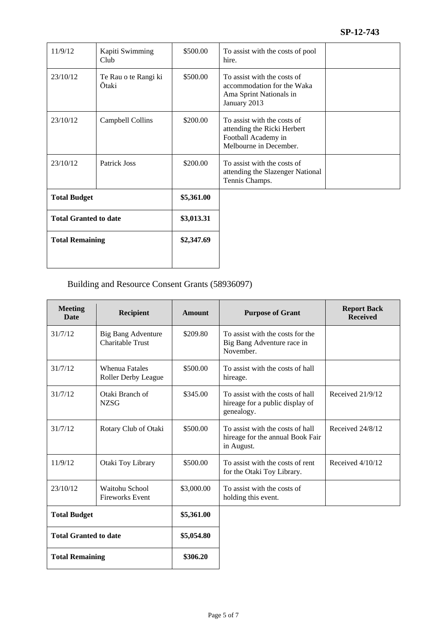| 11/9/12                      | Kapiti Swimming<br>Club       | \$500.00   | To assist with the costs of pool<br>hire.                                                                   |
|------------------------------|-------------------------------|------------|-------------------------------------------------------------------------------------------------------------|
| 23/10/12                     | Te Rau o te Rangi ki<br>Ōtaki | \$500.00   | To assist with the costs of<br>accommodation for the Waka<br>Ama Sprint Nationals in<br>January 2013        |
| 23/10/12                     | Campbell Collins              | \$200.00   | To assist with the costs of<br>attending the Ricki Herbert<br>Football Academy in<br>Melbourne in December. |
| 23/10/12                     | Patrick Joss                  | \$200.00   | To assist with the costs of<br>attending the Slazenger National<br>Tennis Champs.                           |
| <b>Total Budget</b>          |                               | \$5,361.00 |                                                                                                             |
| <b>Total Granted to date</b> |                               | \$3,013.31 |                                                                                                             |
| <b>Total Remaining</b>       |                               | \$2,347.69 |                                                                                                             |
|                              |                               |            |                                                                                                             |

## Building and Resource Consent Grants (58936097)

| <b>Meeting</b><br><b>Date</b> | <b>Recipient</b>                                     | <b>Amount</b> | <b>Purpose of Grant</b>                                                            | <b>Report Back</b><br><b>Received</b> |
|-------------------------------|------------------------------------------------------|---------------|------------------------------------------------------------------------------------|---------------------------------------|
| 31/7/12                       | <b>Big Bang Adventure</b><br><b>Charitable Trust</b> | \$209.80      | To assist with the costs for the<br>Big Bang Adventure race in<br>November.        |                                       |
| 31/7/12                       | <b>Whenua Fatales</b><br>Roller Derby League         | \$500.00      | To assist with the costs of hall<br>hireage.                                       |                                       |
| 31/7/12                       | Otaki Branch of<br><b>NZSG</b>                       | \$345.00      | To assist with the costs of hall<br>hireage for a public display of<br>genealogy.  | Received 21/9/12                      |
| 31/7/12                       | Rotary Club of Otaki                                 | \$500.00      | To assist with the costs of hall<br>hireage for the annual Book Fair<br>in August. | Received 24/8/12                      |
| 11/9/12                       | Otaki Toy Library                                    | \$500.00      | To assist with the costs of rent<br>for the Otaki Toy Library.                     | Received $4/10/12$                    |
| 23/10/12                      | Waitohu School<br><b>Fireworks Event</b>             | \$3,000.00    | To assist with the costs of<br>holding this event.                                 |                                       |
| <b>Total Budget</b>           |                                                      | \$5,361.00    |                                                                                    |                                       |
| <b>Total Granted to date</b>  |                                                      | \$5,054.80    |                                                                                    |                                       |
| <b>Total Remaining</b>        |                                                      | \$306.20      |                                                                                    |                                       |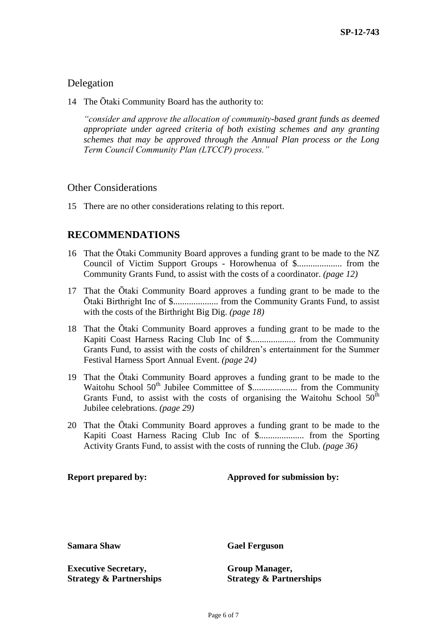### Delegation

14 The Ōtaki Community Board has the authority to:

*"consider and approve the allocation of community-based grant funds as deemed appropriate under agreed criteria of both existing schemes and any granting schemes that may be approved through the Annual Plan process or the Long Term Council Community Plan (LTCCP) process."*

#### Other Considerations

15 There are no other considerations relating to this report.

## **RECOMMENDATIONS**

- 16 That the Ōtaki Community Board approves a funding grant to be made to the NZ Council of Victim Support Groups - Horowhenua of \$.................... from the Community Grants Fund, to assist with the costs of a coordinator. *(page 12)*
- 17 That the Ōtaki Community Board approves a funding grant to be made to the Ōtaki Birthright Inc of \$.................... from the Community Grants Fund, to assist with the costs of the Birthright Big Dig. *(page 18)*
- 18 That the Ōtaki Community Board approves a funding grant to be made to the Kapiti Coast Harness Racing Club Inc of \$.................... from the Community Grants Fund, to assist with the costs of children's entertainment for the Summer Festival Harness Sport Annual Event. *(page 24)*
- 19 That the Ōtaki Community Board approves a funding grant to be made to the Waitohu School 50th Jubilee Committee of \$.................... from the Community Grants Fund, to assist with the costs of organising the Waitohu School  $50<sup>th</sup>$ Jubilee celebrations. *(page 29)*
- 20 That the Ōtaki Community Board approves a funding grant to be made to the Kapiti Coast Harness Racing Club Inc of \$.................... from the Sporting Activity Grants Fund, to assist with the costs of running the Club. *(page 36)*

#### **Report prepared by: Approved for submission by:**

**Executive Secretary, Strategy & Partnerships**

**Samara Shaw Gael Ferguson** 

**Group Manager, Strategy & Partnerships**